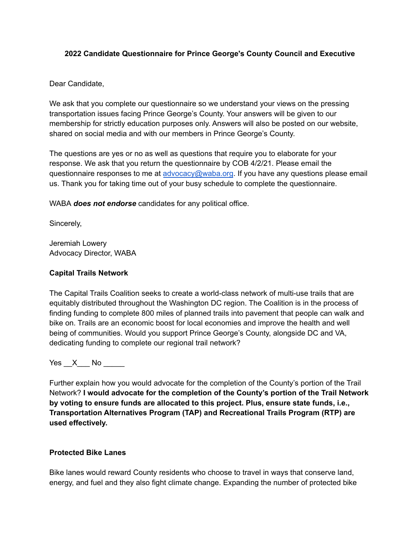#### **2022 Candidate Questionnaire for Prince George's County Council and Executive**

Dear Candidate,

We ask that you complete our questionnaire so we understand your views on the pressing transportation issues facing Prince George's County. Your answers will be given to our membership for strictly education purposes only. Answers will also be posted on our website, shared on social media and with our members in Prince George's County.

The questions are yes or no as well as questions that require you to elaborate for your response. We ask that you return the questionnaire by COB 4/2/21. Please email the questionnaire responses to me at [advocacy@waba.org](mailto:advocacy@waba.org). If you have any questions please email us. Thank you for taking time out of your busy schedule to complete the questionnaire.

WABA *does not endorse* candidates for any political office.

Sincerely,

Jeremiah Lowery Advocacy Director, WABA

#### **Capital Trails Network**

The Capital Trails Coalition seeks to create a world-class network of multi-use trails that are equitably distributed throughout the Washington DC region. The Coalition is in the process of finding funding to complete 800 miles of planned trails into pavement that people can walk and bike on. Trails are an economic boost for local economies and improve the health and well being of communities. Would you support Prince George's County, alongside DC and VA, dedicating funding to complete our regional trail network?

Yes  $X$  No  $\blacksquare$ 

Further explain how you would advocate for the completion of the County's portion of the Trail Network? **I would advocate for the completion of the County's portion of the Trail Network by voting to ensure funds are allocated to this project. Plus, ensure state funds, i.e., Transportation Alternatives Program (TAP) and Recreational Trails Program (RTP) are used effectively.**

#### **Protected Bike Lanes**

Bike lanes would reward County residents who choose to travel in ways that conserve land, energy, and fuel and they also fight climate change. Expanding the number of protected bike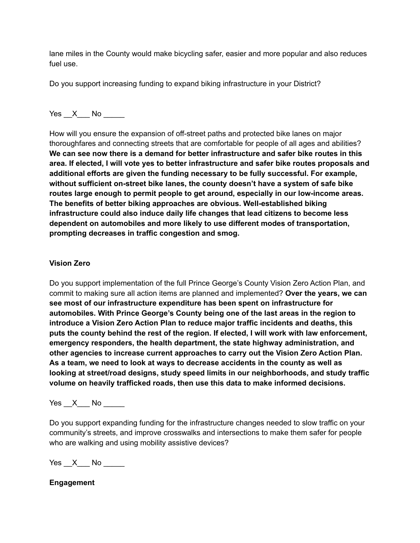lane miles in the County would make bicycling safer, easier and more popular and also reduces fuel use.

Do you support increasing funding to expand biking infrastructure in your District?

Yes X No

How will you ensure the expansion of off-street paths and protected bike lanes on major thoroughfares and connecting streets that are comfortable for people of all ages and abilities? **We can see now there is a demand for better infrastructure and safer bike routes in this area. If elected, I will vote yes to better infrastructure and safer bike routes proposals and additional efforts are given the funding necessary to be fully successful. For example, without sufficient on-street bike lanes, the county doesn't have a system of safe bike routes large enough to permit people to get around, especially in our low-income areas. The benefits of better biking approaches are obvious. Well-established biking infrastructure could also induce daily life changes that lead citizens to become less dependent on automobiles and more likely to use different modes of transportation, prompting decreases in traffic congestion and smog.**

# **Vision Zero**

Do you support implementation of the full Prince George's County Vision Zero Action Plan, and commit to making sure all action items are planned and implemented? **Over the years, we can see most of our infrastructure expenditure has been spent on infrastructure for automobiles. With Prince George's County being one of the last areas in the region to introduce a Vision Zero Action Plan to reduce major traffic incidents and deaths, this puts the county behind the rest of the region. If elected, I will work with law enforcement, emergency responders, the health department, the state highway administration, and other agencies to increase current approaches to carry out the Vision Zero Action Plan. As a team, we need to look at ways to decrease accidents in the county as well as looking at street/road designs, study speed limits in our neighborhoods, and study traffic volume on heavily trafficked roads, then use this data to make informed decisions.**

Yes  $X$  No  $\blacksquare$ 

Do you support expanding funding for the infrastructure changes needed to slow traffic on your community's streets, and improve crosswalks and intersections to make them safer for people who are walking and using mobility assistive devices?

 $Yes \_ X \_ No \_$ 

# **Engagement**